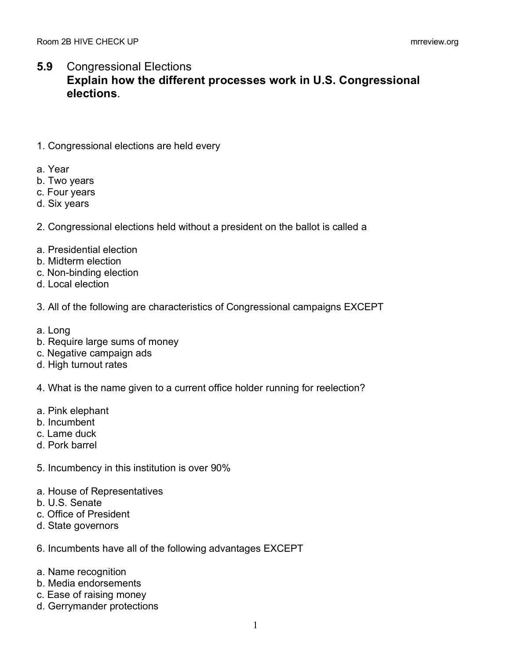## **5.9** Congressional Elections **Explain how the different processes work in U.S. Congressional elections**.

- 1. Congressional elections are held every
- a. Year
- b. Two years
- c. Four years
- d. Six years
- 2. Congressional elections held without a president on the ballot is called a
- a. Presidential election
- b. Midterm election
- c. Non-binding election
- d. Local election
- 3. All of the following are characteristics of Congressional campaigns EXCEPT
- a. Long
- b. Require large sums of money
- c. Negative campaign ads
- d. High turnout rates
- 4. What is the name given to a current office holder running for reelection?
- a. Pink elephant
- b. Incumbent
- c. Lame duck
- d. Pork barrel
- 5. Incumbency in this institution is over 90%
- a. House of Representatives
- b. U.S. Senate
- c. Office of President
- d. State governors
- 6. Incumbents have all of the following advantages EXCEPT
- a. Name recognition
- b. Media endorsements
- c. Ease of raising money
- d. Gerrymander protections